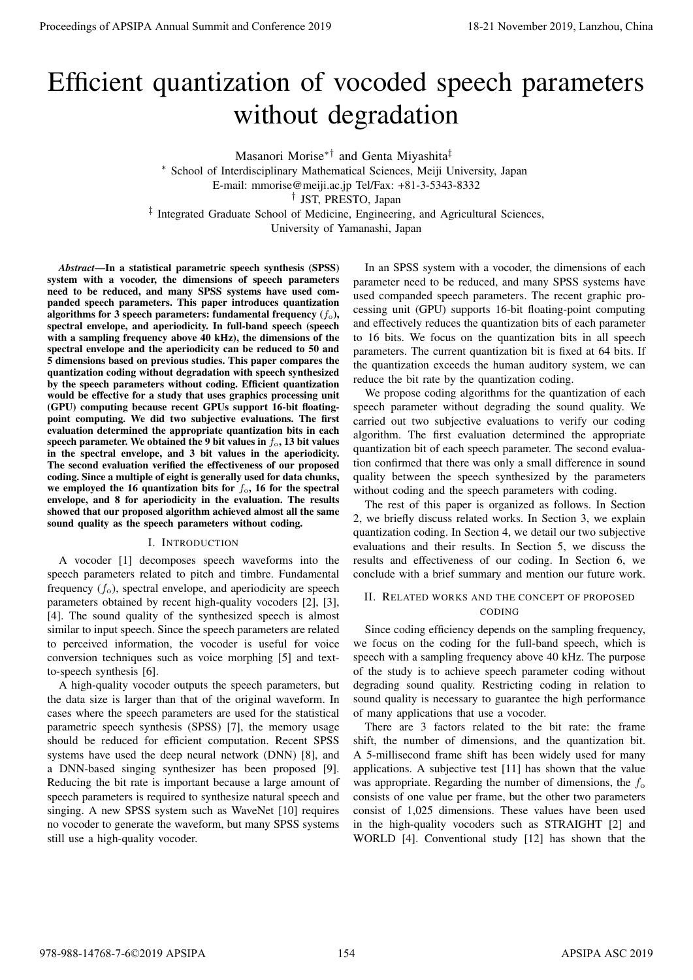# Efficient quantization of vocoded speech parameters without degradation

Masanori Morise*∗†* and Genta Miyashita*‡*

*<sup>∗</sup>* School of Interdisciplinary Mathematical Sciences, Meiji University, Japan E-mail: mmorise@meiji.ac.jp Tel/Fax: +81-3-5343-8332 *†* JST, PRESTO, Japan

*‡* Integrated Graduate School of Medicine, Engineering, and Agricultural Sciences,

University of Yamanashi, Japan

*Abstract*—In a statistical parametric speech synthesis (SPSS) system with a vocoder, the dimensions of speech parameters need to be reduced, and many SPSS systems have used companded speech parameters. This paper introduces quantization algorithms for 3 speech parameters: fundamental frequency  $(f_o)$ , spectral envelope, and aperiodicity. In full-band speech (speech with a sampling frequency above 40 kHz), the dimensions of the spectral envelope and the aperiodicity can be reduced to 50 and 5 dimensions based on previous studies. This paper compares the quantization coding without degradation with speech synthesized by the speech parameters without coding. Efficient quantization would be effective for a study that uses graphics processing unit (GPU) computing because recent GPUs support 16-bit floatingpoint computing. We did two subjective evaluations. The first evaluation determined the appropriate quantization bits in each speech parameter. We obtained the 9 bit values in  $f_0$ , 13 bit values in the spectral envelope, and 3 bit values in the aperiodicity. The second evaluation verified the effectiveness of our proposed coding. Since a multiple of eight is generally used for data chunks, we employed the 16 quantization bits for  $f_0$ , 16 for the spectral envelope, and 8 for aperiodicity in the evaluation. The results showed that our proposed algorithm achieved almost all the same sound quality as the speech parameters without coding. **Proceedings of APSIPA Annual Summit and Conference 2019**<br> **Efficient quantization of Vocacoologistics** with the summit and consequence 2019<br>  $\frac{1}{2}$  November 2019, November 2019, November 2019, November 2019, November

# I. INTRODUCTION

A vocoder [1] decomposes speech waveforms into the speech parameters related to pitch and timbre. Fundamental frequency  $(f_0)$ , spectral envelope, and aperiodicity are speech parameters obtained by recent high-quality vocoders [2], [3], [4]. The sound quality of the synthesized speech is almost similar to input speech. Since the speech parameters are related to perceived information, the vocoder is useful for voice conversion techniques such as voice morphing [5] and textto-speech synthesis [6].

A high-quality vocoder outputs the speech parameters, but the data size is larger than that of the original waveform. In cases where the speech parameters are used for the statistical parametric speech synthesis (SPSS) [7], the memory usage should be reduced for efficient computation. Recent SPSS systems have used the deep neural network (DNN) [8], and a DNN-based singing synthesizer has been proposed [9]. Reducing the bit rate is important because a large amount of speech parameters is required to synthesize natural speech and singing. A new SPSS system such as WaveNet [10] requires no vocoder to generate the waveform, but many SPSS systems still use a high-quality vocoder.

In an SPSS system with a vocoder, the dimensions of each parameter need to be reduced, and many SPSS systems have used companded speech parameters. The recent graphic processing unit (GPU) supports 16-bit floating-point computing and effectively reduces the quantization bits of each parameter to 16 bits. We focus on the quantization bits in all speech parameters. The current quantization bit is fixed at 64 bits. If the quantization exceeds the human auditory system, we can reduce the bit rate by the quantization coding.

We propose coding algorithms for the quantization of each speech parameter without degrading the sound quality. We carried out two subjective evaluations to verify our coding algorithm. The first evaluation determined the appropriate quantization bit of each speech parameter. The second evaluation confirmed that there was only a small difference in sound quality between the speech synthesized by the parameters without coding and the speech parameters with coding.

The rest of this paper is organized as follows. In Section 2, we briefly discuss related works. In Section 3, we explain quantization coding. In Section 4, we detail our two subjective evaluations and their results. In Section 5, we discuss the results and effectiveness of our coding. In Section 6, we conclude with a brief summary and mention our future work.

# II. RELATED WORKS AND THE CONCEPT OF PROPOSED CODING

Since coding efficiency depends on the sampling frequency, we focus on the coding for the full-band speech, which is speech with a sampling frequency above 40 kHz. The purpose of the study is to achieve speech parameter coding without degrading sound quality. Restricting coding in relation to sound quality is necessary to guarantee the high performance of many applications that use a vocoder.

There are 3 factors related to the bit rate: the frame shift, the number of dimensions, and the quantization bit. A 5-millisecond frame shift has been widely used for many applications. A subjective test [11] has shown that the value was appropriate. Regarding the number of dimensions, the  $f_0$ consists of one value per frame, but the other two parameters consist of 1,025 dimensions. These values have been used in the high-quality vocoders such as STRAIGHT [2] and WORLD [4]. Conventional study [12] has shown that the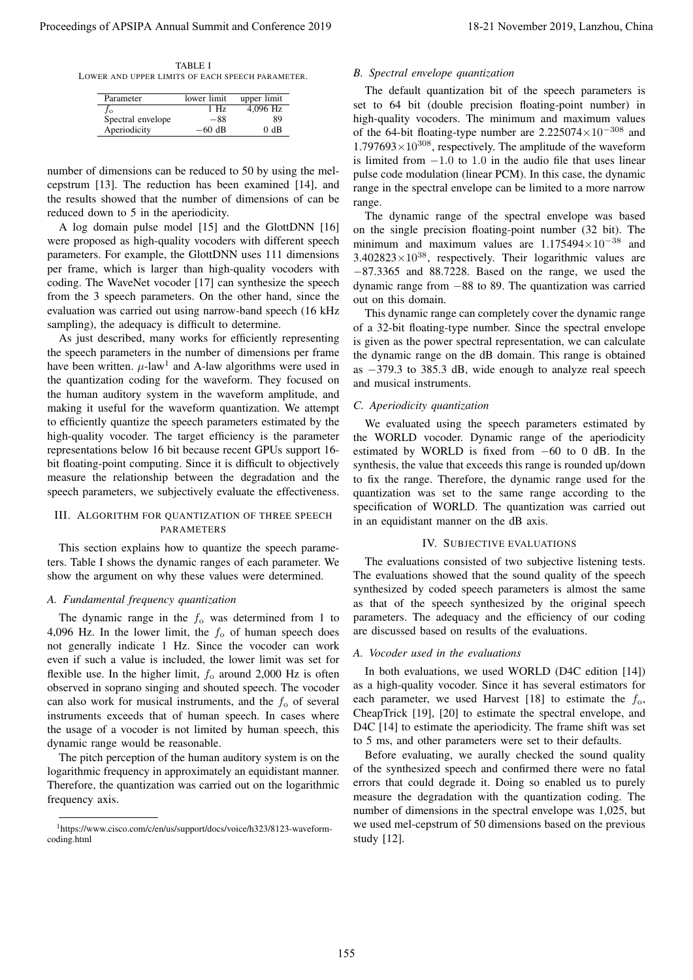TABLE I LOWER AND UPPER LIMITS OF EACH SPEECH PARAMETER.

| Parameter         | lower limit | upper limit |
|-------------------|-------------|-------------|
| Jo                | 1 Hz        | $4.096$ Hz  |
| Spectral envelope | -88         | 89          |
| Aperiodicity      | –60 dB      | ን dB        |

number of dimensions can be reduced to 50 by using the melcepstrum [13]. The reduction has been examined [14], and the results showed that the number of dimensions of can be reduced down to 5 in the aperiodicity.

A log domain pulse model [15] and the GlottDNN [16] were proposed as high-quality vocoders with different speech parameters. For example, the GlottDNN uses 111 dimensions per frame, which is larger than high-quality vocoders with coding. The WaveNet vocoder [17] can synthesize the speech from the 3 speech parameters. On the other hand, since the evaluation was carried out using narrow-band speech (16 kHz sampling), the adequacy is difficult to determine.

As just described, many works for efficiently representing the speech parameters in the number of dimensions per frame have been written.  $\mu$ -law<sup>1</sup> and A-law algorithms were used in the quantization coding for the waveform. They focused on the human auditory system in the waveform amplitude, and making it useful for the waveform quantization. We attempt to efficiently quantize the speech parameters estimated by the high-quality vocoder. The target efficiency is the parameter representations below 16 bit because recent GPUs support 16 bit floating-point computing. Since it is difficult to objectively measure the relationship between the degradation and the speech parameters, we subjectively evaluate the effectiveness. Proceedings of APSIPA Annual Summit and Conference 2019 11.<br>
1.142 November 2019 11. and Conference 2019 11. and Conference 2019 11. and Conference 2019 11. and Conference 2019 11. and Conference 2019 11. and Conference 2

# III. ALGORITHM FOR QUANTIZATION OF THREE SPEECH PARAMETERS

This section explains how to quantize the speech parameters. Table I shows the dynamic ranges of each parameter. We show the argument on why these values were determined.

#### *A. Fundamental frequency quantization*

The dynamic range in the  $f_0$  was determined from 1 to 4,096 Hz. In the lower limit, the  $f_0$  of human speech does not generally indicate 1 Hz. Since the vocoder can work even if such a value is included, the lower limit was set for flexible use. In the higher limit,  $f_0$  around 2,000 Hz is often observed in soprano singing and shouted speech. The vocoder can also work for musical instruments, and the  $f<sub>o</sub>$  of several instruments exceeds that of human speech. In cases where the usage of a vocoder is not limited by human speech, this dynamic range would be reasonable.

The pitch perception of the human auditory system is on the logarithmic frequency in approximately an equidistant manner. Therefore, the quantization was carried out on the logarithmic frequency axis.

# *B. Spectral envelope quantization*

The default quantization bit of the speech parameters is set to 64 bit (double precision floating-point number) in high-quality vocoders. The minimum and maximum values of the 64-bit floating-type number are 2.225074*×*10*<sup>−</sup>*<sup>308</sup> and  $1.797693\times10^{308}$ , respectively. The amplitude of the waveform is limited from *−*1*.*0 to 1*.*0 in the audio file that uses linear pulse code modulation (linear PCM). In this case, the dynamic range in the spectral envelope can be limited to a more narrow range.

The dynamic range of the spectral envelope was based on the single precision floating-point number (32 bit). The minimum and maximum values are 1.175494*×*10*<sup>−</sup>*<sup>38</sup> and  $3.402823\times10^{38}$ , respectively. Their logarithmic values are *−*87.3365 and 88.7228. Based on the range, we used the dynamic range from *−*88 to 89. The quantization was carried out on this domain.

This dynamic range can completely cover the dynamic range of a 32-bit floating-type number. Since the spectral envelope is given as the power spectral representation, we can calculate the dynamic range on the dB domain. This range is obtained as *−*379.3 to 385.3 dB, wide enough to analyze real speech and musical instruments.

# *C. Aperiodicity quantization*

We evaluated using the speech parameters estimated by the WORLD vocoder. Dynamic range of the aperiodicity estimated by WORLD is fixed from *−*60 to 0 dB. In the synthesis, the value that exceeds this range is rounded up/down to fix the range. Therefore, the dynamic range used for the quantization was set to the same range according to the specification of WORLD. The quantization was carried out in an equidistant manner on the dB axis.

# IV. SUBJECTIVE EVALUATIONS

The evaluations consisted of two subjective listening tests. The evaluations showed that the sound quality of the speech synthesized by coded speech parameters is almost the same as that of the speech synthesized by the original speech parameters. The adequacy and the efficiency of our coding are discussed based on results of the evaluations.

### *A. Vocoder used in the evaluations*

In both evaluations, we used WORLD (D4C edition [14]) as a high-quality vocoder. Since it has several estimators for each parameter, we used Harvest [18] to estimate the  $f_0$ , CheapTrick [19], [20] to estimate the spectral envelope, and D4C [14] to estimate the aperiodicity. The frame shift was set to 5 ms, and other parameters were set to their defaults.

Before evaluating, we aurally checked the sound quality of the synthesized speech and confirmed there were no fatal errors that could degrade it. Doing so enabled us to purely measure the degradation with the quantization coding. The number of dimensions in the spectral envelope was 1,025, but we used mel-cepstrum of 50 dimensions based on the previous study [12].

<sup>1</sup>https://www.cisco.com/c/en/us/support/docs/voice/h323/8123-waveformcoding.html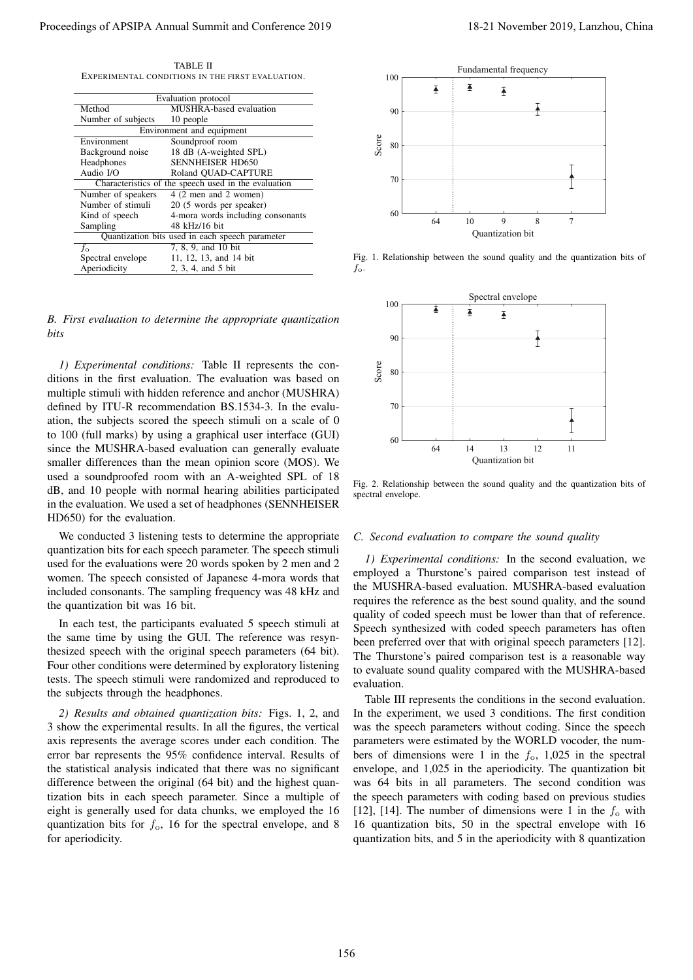TABLE II EXPERIMENTAL CONDITIONS IN THE FIRST EVALUATION.

| Evaluation protocol                                  |                                   |  |  |  |
|------------------------------------------------------|-----------------------------------|--|--|--|
| Method                                               | <b>MUSHRA-based</b> evaluation    |  |  |  |
| Number of subjects                                   | 10 people                         |  |  |  |
| Environment and equipment                            |                                   |  |  |  |
| Environment                                          | Soundproof room                   |  |  |  |
| Background noise                                     | 18 dB (A-weighted SPL)            |  |  |  |
| Headphones                                           | <b>SENNHEISER HD650</b>           |  |  |  |
| Audio $I/O$                                          | Roland OUAD-CAPTURE               |  |  |  |
| Characteristics of the speech used in the evaluation |                                   |  |  |  |
| Number of speakers                                   | 4 (2 men and 2 women)             |  |  |  |
| Number of stimuli                                    | 20 (5 words per speaker)          |  |  |  |
| Kind of speech                                       | 4-mora words including consonants |  |  |  |
| Sampling                                             | 48 kHz/16 bit                     |  |  |  |
| Quantization bits used in each speech parameter      |                                   |  |  |  |
| f.                                                   | 7, 8, 9, and 10 bit               |  |  |  |
| Spectral envelope                                    | 11, 12, 13, and 14 bit            |  |  |  |
| Aperiodicity                                         | 2, 3, 4, and 5 bit                |  |  |  |

*B. First evaluation to determine the appropriate quantization bits*

*1) Experimental conditions:* Table II represents the conditions in the first evaluation. The evaluation was based on multiple stimuli with hidden reference and anchor (MUSHRA) defined by ITU-R recommendation BS.1534-3. In the evaluation, the subjects scored the speech stimuli on a scale of 0 to 100 (full marks) by using a graphical user interface (GUI) since the MUSHRA-based evaluation can generally evaluate smaller differences than the mean opinion score (MOS). We used a soundproofed room with an A-weighted SPL of 18 dB, and 10 people with normal hearing abilities participated in the evaluation. We used a set of headphones (SENNHEISER HD650) for the evaluation.

We conducted 3 listening tests to determine the appropriate quantization bits for each speech parameter. The speech stimuli used for the evaluations were 20 words spoken by 2 men and 2 women. The speech consisted of Japanese 4-mora words that included consonants. The sampling frequency was 48 kHz and the quantization bit was 16 bit.

In each test, the participants evaluated 5 speech stimuli at the same time by using the GUI. The reference was resynthesized speech with the original speech parameters (64 bit). Four other conditions were determined by exploratory listening tests. The speech stimuli were randomized and reproduced to the subjects through the headphones.

*2) Results and obtained quantization bits:* Figs. 1, 2, and 3 show the experimental results. In all the figures, the vertical axis represents the average scores under each condition. The error bar represents the 95% confidence interval. Results of the statistical analysis indicated that there was no significant difference between the original (64 bit) and the highest quantization bits in each speech parameter. Since a multiple of eight is generally used for data chunks, we employed the 16 quantization bits for  $f_0$ , 16 for the spectral envelope, and 8 for aperiodicity.



Fig. 1. Relationship between the sound quality and the quantization bits of *f*o.



Fig. 2. Relationship between the sound quality and the quantization bits of spectral envelope.

#### *C. Second evaluation to compare the sound quality*

*1) Experimental conditions:* In the second evaluation, we employed a Thurstone's paired comparison test instead of the MUSHRA-based evaluation. MUSHRA-based evaluation requires the reference as the best sound quality, and the sound quality of coded speech must be lower than that of reference. Speech synthesized with coded speech parameters has often been preferred over that with original speech parameters [12]. The Thurstone's paired comparison test is a reasonable way to evaluate sound quality compared with the MUSHRA-based evaluation.

Table III represents the conditions in the second evaluation. In the experiment, we used 3 conditions. The first condition was the speech parameters without coding. Since the speech parameters were estimated by the WORLD vocoder, the numbers of dimensions were 1 in the *f*o, 1,025 in the spectral envelope, and 1,025 in the aperiodicity. The quantization bit was 64 bits in all parameters. The second condition was the speech parameters with coding based on previous studies [12], [14]. The number of dimensions were 1 in the  $f_0$  with 16 quantization bits, 50 in the spectral envelope with 16 quantization bits, and 5 in the aperiodicity with 8 quantization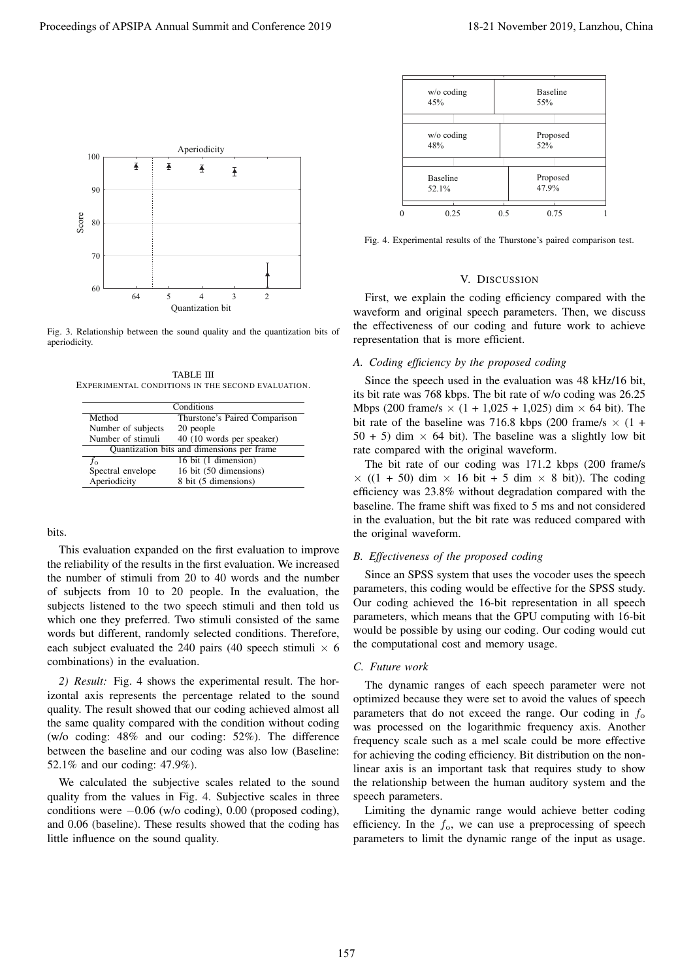

Fig. 3. Relationship between the sound quality and the quantization bits of aperiodicity.

TABLE III EXPERIMENTAL CONDITIONS IN THE SECOND EVALUATION.

| Conditions         |                                            |  |  |  |
|--------------------|--------------------------------------------|--|--|--|
| Method             | Thurstone's Paired Comparison              |  |  |  |
| Number of subjects | 20 people                                  |  |  |  |
| Number of stimuli  | 40 (10 words per speaker)                  |  |  |  |
|                    | Quantization bits and dimensions per frame |  |  |  |
| $f_{\alpha}$       | 16 bit (1 dimension)                       |  |  |  |
| Spectral envelope  | 16 bit (50 dimensions)                     |  |  |  |
| Aperiodicity       | 8 bit (5 dimensions)                       |  |  |  |

bits.

This evaluation expanded on the first evaluation to improve the reliability of the results in the first evaluation. We increased the number of stimuli from 20 to 40 words and the number of subjects from 10 to 20 people. In the evaluation, the subjects listened to the two speech stimuli and then told us which one they preferred. Two stimuli consisted of the same words but different, randomly selected conditions. Therefore, each subject evaluated the 240 pairs (40 speech stimuli  $\times$  6 combinations) in the evaluation.

*2) Result:* Fig. 4 shows the experimental result. The horizontal axis represents the percentage related to the sound quality. The result showed that our coding achieved almost all the same quality compared with the condition without coding (w/o coding: 48% and our coding: 52%). The difference between the baseline and our coding was also low (Baseline: 52.1% and our coding: 47.9%).

We calculated the subjective scales related to the sound quality from the values in Fig. 4. Subjective scales in three conditions were *−*0.06 (w/o coding), 0.00 (proposed coding), and 0.06 (baseline). These results showed that the coding has little influence on the sound quality.

| $w/o$ coding<br>45%      |     | <b>Baseline</b><br>55% |  |
|--------------------------|-----|------------------------|--|
| $w/o$ coding<br>48%      |     | Proposed<br>52%        |  |
| <b>Baseline</b><br>52.1% |     | Proposed<br>47.9%      |  |
| 0.25                     | 0.5 | 0.75                   |  |

Fig. 4. Experimental results of the Thurstone's paired comparison test.

#### V. DISCUSSION

First, we explain the coding efficiency compared with the waveform and original speech parameters. Then, we discuss the effectiveness of our coding and future work to achieve representation that is more efficient.

# *A. Coding efficiency by the proposed coding*

Since the speech used in the evaluation was 48 kHz/16 bit, its bit rate was 768 kbps. The bit rate of w/o coding was 26.25 Mbps (200 frame/s  $\times$  (1 + 1,025 + 1,025) dim  $\times$  64 bit). The bit rate of the baseline was 716.8 kbps (200 frame/s  $\times$  (1 +  $50 + 5$ ) dim  $\times$  64 bit). The baseline was a slightly low bit rate compared with the original waveform.

The bit rate of our coding was 171.2 kbps (200 frame/s  $\times$  ((1 + 50) dim  $\times$  16 bit + 5 dim  $\times$  8 bit)). The coding efficiency was 23.8% without degradation compared with the baseline. The frame shift was fixed to 5 ms and not considered in the evaluation, but the bit rate was reduced compared with the original waveform.

# *B. Effectiveness of the proposed coding*

Since an SPSS system that uses the vocoder uses the speech parameters, this coding would be effective for the SPSS study. Our coding achieved the 16-bit representation in all speech parameters, which means that the GPU computing with 16-bit would be possible by using our coding. Our coding would cut the computational cost and memory usage.

# *C. Future work*

The dynamic ranges of each speech parameter were not optimized because they were set to avoid the values of speech parameters that do not exceed the range. Our coding in  $f_0$ was processed on the logarithmic frequency axis. Another frequency scale such as a mel scale could be more effective for achieving the coding efficiency. Bit distribution on the nonlinear axis is an important task that requires study to show the relationship between the human auditory system and the speech parameters.

Limiting the dynamic range would achieve better coding efficiency. In the  $f_0$ , we can use a preprocessing of speech parameters to limit the dynamic range of the input as usage.